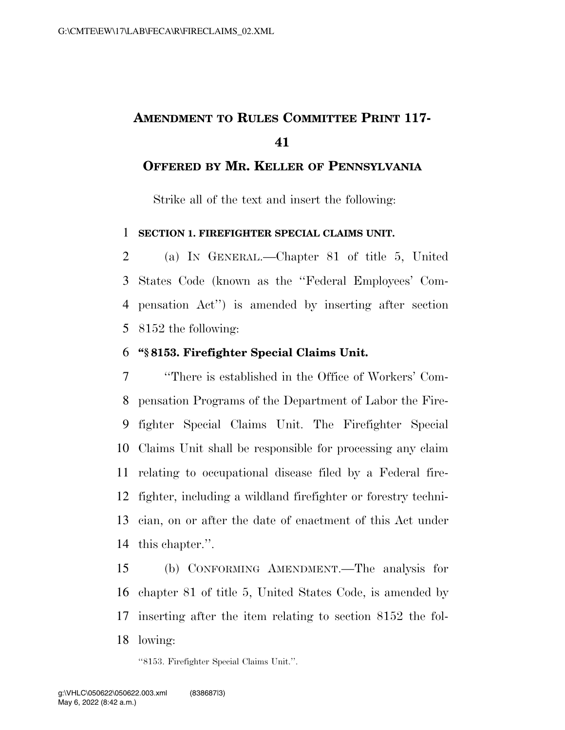# **AMENDMENT TO RULES COMMITTEE PRINT 117-**

### **OFFERED BY MR. KELLER OF PENNSYLVANIA**

Strike all of the text and insert the following:

#### **SECTION 1. FIREFIGHTER SPECIAL CLAIMS UNIT.**

 (a) IN GENERAL.—Chapter 81 of title 5, United States Code (known as the ''Federal Employees' Com- pensation Act'') is amended by inserting after section 8152 the following:

#### **''§ 8153. Firefighter Special Claims Unit.**

 ''There is established in the Office of Workers' Com- pensation Programs of the Department of Labor the Fire- fighter Special Claims Unit. The Firefighter Special Claims Unit shall be responsible for processing any claim relating to occupational disease filed by a Federal fire- fighter, including a wildland firefighter or forestry techni- cian, on or after the date of enactment of this Act under this chapter.''.

 (b) CONFORMING AMENDMENT.—The analysis for chapter 81 of title 5, United States Code, is amended by inserting after the item relating to section 8152 the fol-lowing:

''8153. Firefighter Special Claims Unit.''.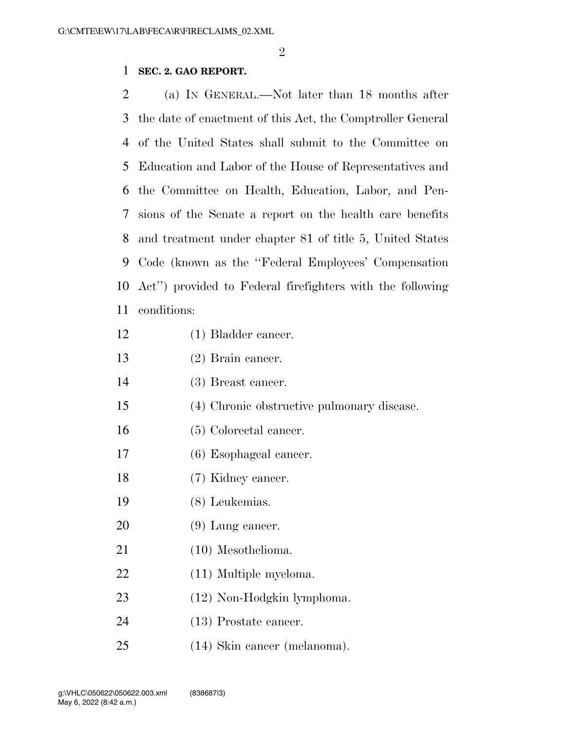#### **SEC. 2. GAO REPORT.**

 (a) IN GENERAL.—Not later than 18 months after the date of enactment of this Act, the Comptroller General of the United States shall submit to the Committee on Education and Labor of the House of Representatives and the Committee on Health, Education, Labor, and Pen- sions of the Senate a report on the health care benefits and treatment under chapter 81 of title 5, United States Code (known as the ''Federal Employees' Compensation Act'') provided to Federal firefighters with the following conditions:

- (1) Bladder cancer.
- (2) Brain cancer.
- (3) Breast cancer.
- (4) Chronic obstructive pulmonary disease.
- (5) Colorectal cancer.
- (6) Esophageal cancer.
- (7) Kidney cancer.
- (8) Leukemias.
- 20 (9) Lung cancer.
- (10) Mesothelioma.
- (11) Multiple myeloma.
- (12) Non-Hodgkin lymphoma.
- (13) Prostate cancer.
- (14) Skin cancer (melanoma).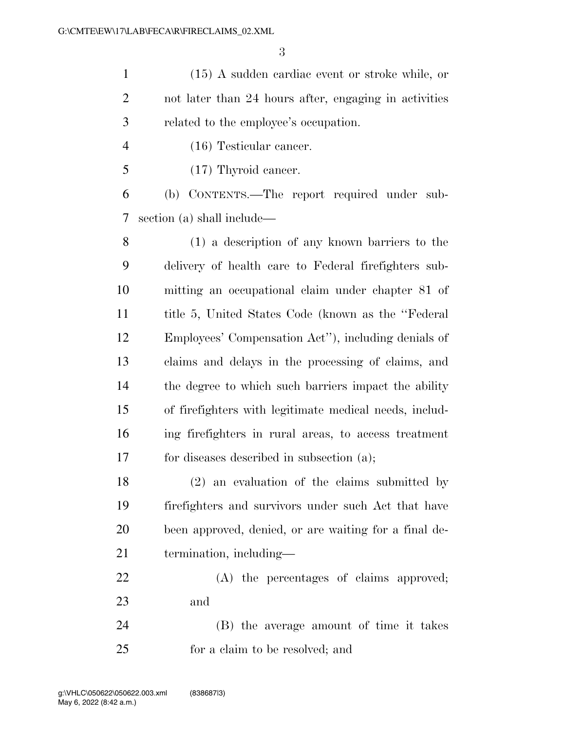(15) A sudden cardiac event or stroke while, or not later than 24 hours after, engaging in activities related to the employee's occupation.

- (16) Testicular cancer.
- (17) Thyroid cancer.

 (b) CONTENTS.—The report required under sub-section (a) shall include—

 (1) a description of any known barriers to the delivery of health care to Federal firefighters sub- mitting an occupational claim under chapter 81 of title 5, United States Code (known as the ''Federal Employees' Compensation Act''), including denials of claims and delays in the processing of claims, and the degree to which such barriers impact the ability of firefighters with legitimate medical needs, includ- ing firefighters in rural areas, to access treatment for diseases described in subsection (a);

 (2) an evaluation of the claims submitted by firefighters and survivors under such Act that have been approved, denied, or are waiting for a final de-termination, including—

 (A) the percentages of claims approved; and

 (B) the average amount of time it takes for a claim to be resolved; and